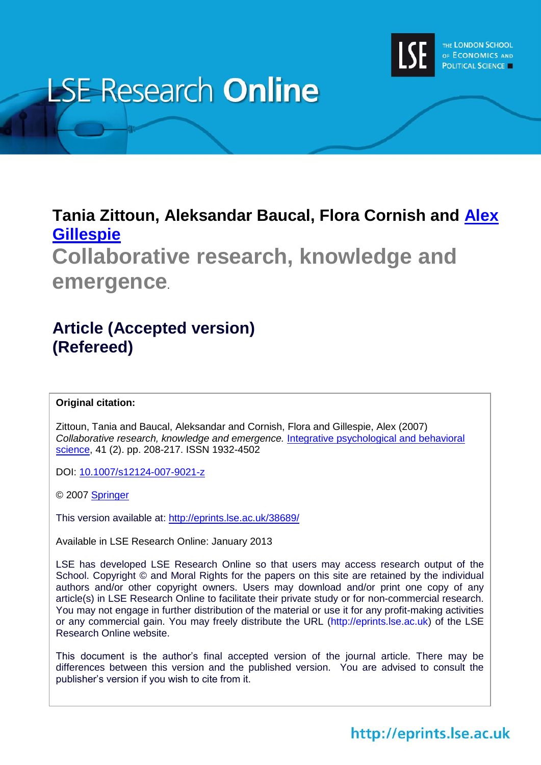

# **LSE Research Online**

## **Tania Zittoun, Aleksandar Baucal, Flora Cornish and [Alex](http://www2.lse.ac.uk/researchAndExpertise/Experts/profile.aspx?KeyValue=a.t.gillespie@lse.ac.uk)  [Gillespie](http://www2.lse.ac.uk/researchAndExpertise/Experts/profile.aspx?KeyValue=a.t.gillespie@lse.ac.uk)**

**Collaborative research, knowledge and emergence***.*

## **Article (Accepted version) (Refereed)**

#### **Original citation:**

Zittoun, Tania and Baucal, Aleksandar and Cornish, Flora and Gillespie, Alex (2007) *Collaborative research, knowledge and emergence.* [Integrative psychological and behavioral](http://www.springer.com/psychology/journal/12124)  [science,](http://www.springer.com/psychology/journal/12124) 41 (2). pp. 208-217. ISSN 1932-4502

DOI:<10.1007/s12124-007-9021-z>

© 2007 [Springer](http://www.springer.com/?SGWID=5-102-0-0-0)

This version available at:<http://eprints.lse.ac.uk/38689/>

Available in LSE Research Online: January 2013

LSE has developed LSE Research Online so that users may access research output of the School. Copyright © and Moral Rights for the papers on this site are retained by the individual authors and/or other copyright owners. Users may download and/or print one copy of any article(s) in LSE Research Online to facilitate their private study or for non-commercial research. You may not engage in further distribution of the material or use it for any profit-making activities or any commercial gain. You may freely distribute the URL (http://eprints.lse.ac.uk) of the LSE Research Online website.

This document is the author's final accepted version of the journal article. There may be differences between this version and the published version. You are advised to consult the publisher's version if you wish to cite from it.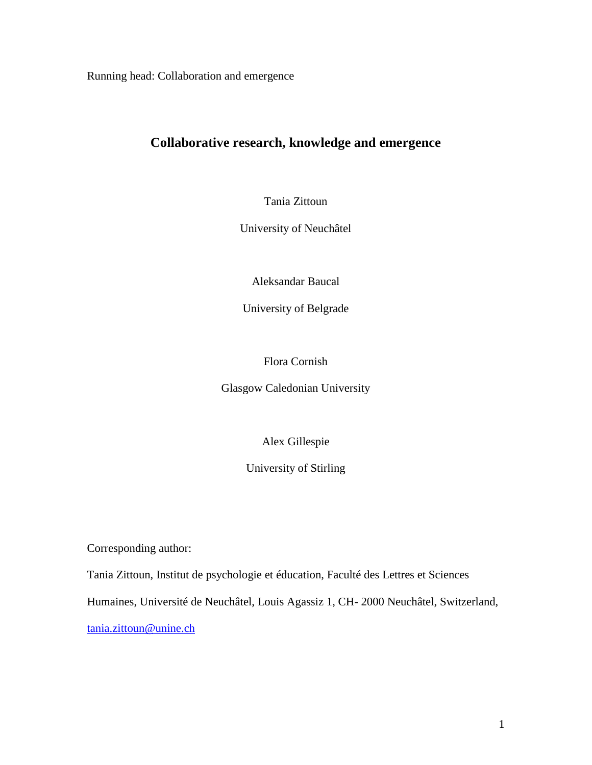Running head: Collaboration and emergence

### **Collaborative research, knowledge and emergence**

Tania Zittoun

University of Neuchâtel

Aleksandar Baucal

University of Belgrade

Flora Cornish

Glasgow Caledonian University

Alex Gillespie

University of Stirling

Corresponding author:

Tania Zittoun, Institut de psychologie et éducation, Faculté des Lettres et Sciences

Humaines, Université de Neuchâtel, Louis Agassiz 1, CH- 2000 Neuchâtel, Switzerland,

[tania.zittoun@unine.ch](mailto:tania.zittoun@unine.ch)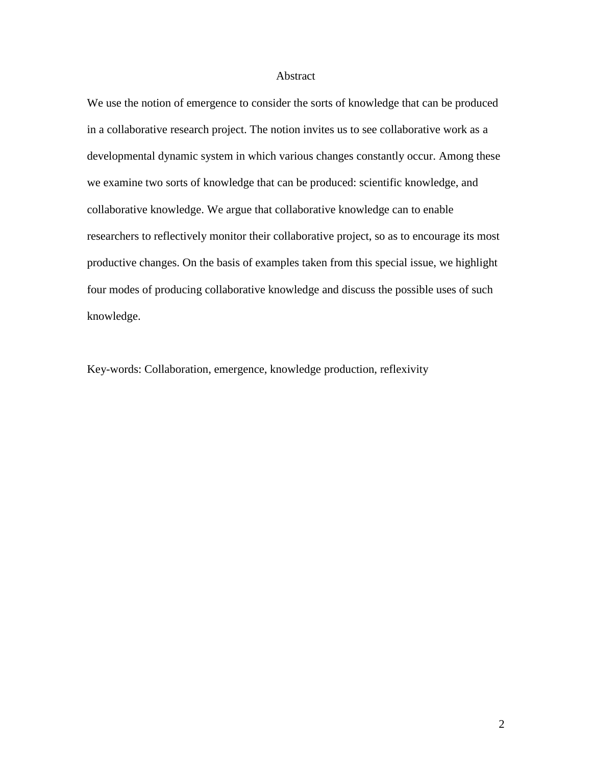#### Abstract

We use the notion of emergence to consider the sorts of knowledge that can be produced in a collaborative research project. The notion invites us to see collaborative work as a developmental dynamic system in which various changes constantly occur. Among these we examine two sorts of knowledge that can be produced: scientific knowledge, and collaborative knowledge. We argue that collaborative knowledge can to enable researchers to reflectively monitor their collaborative project, so as to encourage its most productive changes. On the basis of examples taken from this special issue, we highlight four modes of producing collaborative knowledge and discuss the possible uses of such knowledge.

Key-words: Collaboration, emergence, knowledge production, reflexivity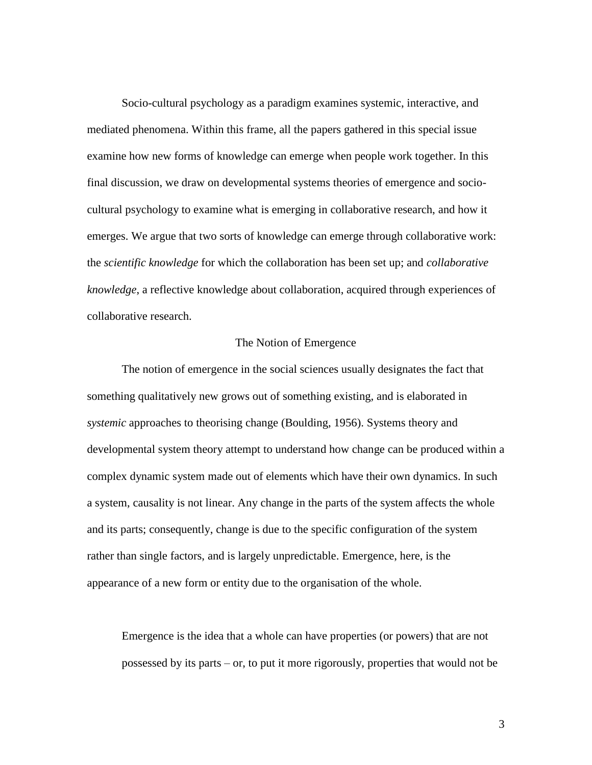Socio-cultural psychology as a paradigm examines systemic, interactive, and mediated phenomena. Within this frame, all the papers gathered in this special issue examine how new forms of knowledge can emerge when people work together. In this final discussion, we draw on developmental systems theories of emergence and sociocultural psychology to examine what is emerging in collaborative research, and how it emerges. We argue that two sorts of knowledge can emerge through collaborative work: the *scientific knowledge* for which the collaboration has been set up; and *collaborative knowledge*, a reflective knowledge about collaboration, acquired through experiences of collaborative research.

#### The Notion of Emergence

The notion of emergence in the social sciences usually designates the fact that something qualitatively new grows out of something existing, and is elaborated in *systemic* approaches to theorising change (Boulding, 1956). Systems theory and developmental system theory attempt to understand how change can be produced within a complex dynamic system made out of elements which have their own dynamics. In such a system, causality is not linear. Any change in the parts of the system affects the whole and its parts; consequently, change is due to the specific configuration of the system rather than single factors, and is largely unpredictable. Emergence, here, is the appearance of a new form or entity due to the organisation of the whole.

Emergence is the idea that a whole can have properties (or powers) that are not possessed by its parts – or, to put it more rigorously, properties that would not be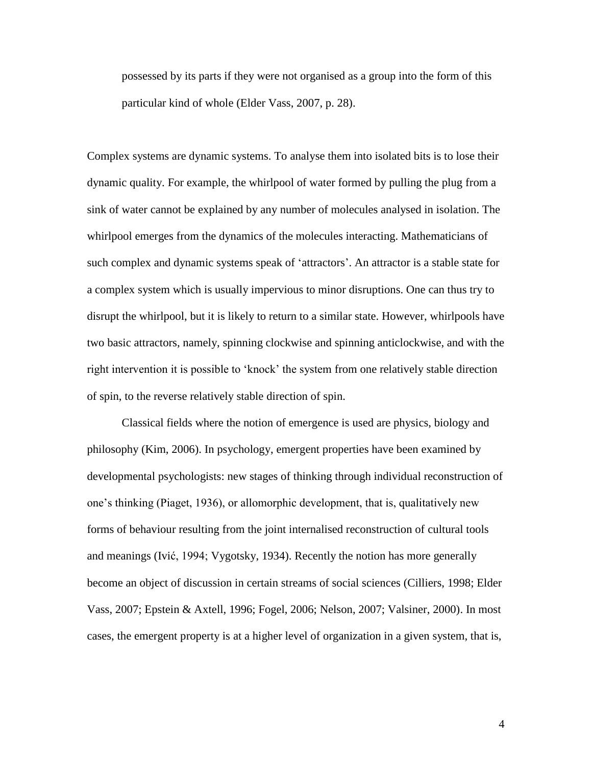possessed by its parts if they were not organised as a group into the form of this particular kind of whole (Elder Vass, 2007, p. 28).

Complex systems are dynamic systems. To analyse them into isolated bits is to lose their dynamic quality. For example, the whirlpool of water formed by pulling the plug from a sink of water cannot be explained by any number of molecules analysed in isolation. The whirlpool emerges from the dynamics of the molecules interacting. Mathematicians of such complex and dynamic systems speak of 'attractors'. An attractor is a stable state for a complex system which is usually impervious to minor disruptions. One can thus try to disrupt the whirlpool, but it is likely to return to a similar state. However, whirlpools have two basic attractors, namely, spinning clockwise and spinning anticlockwise, and with the right intervention it is possible to 'knock' the system from one relatively stable direction of spin, to the reverse relatively stable direction of spin.

Classical fields where the notion of emergence is used are physics, biology and philosophy (Kim, 2006). In psychology, emergent properties have been examined by developmental psychologists: new stages of thinking through individual reconstruction of one's thinking (Piaget, 1936), or allomorphic development, that is, qualitatively new forms of behaviour resulting from the joint internalised reconstruction of cultural tools and meanings (Ivić, 1994; Vygotsky, 1934). Recently the notion has more generally become an object of discussion in certain streams of social sciences (Cilliers, 1998; Elder Vass, 2007; Epstein & Axtell, 1996; Fogel, 2006; Nelson, 2007; Valsiner, 2000). In most cases, the emergent property is at a higher level of organization in a given system, that is,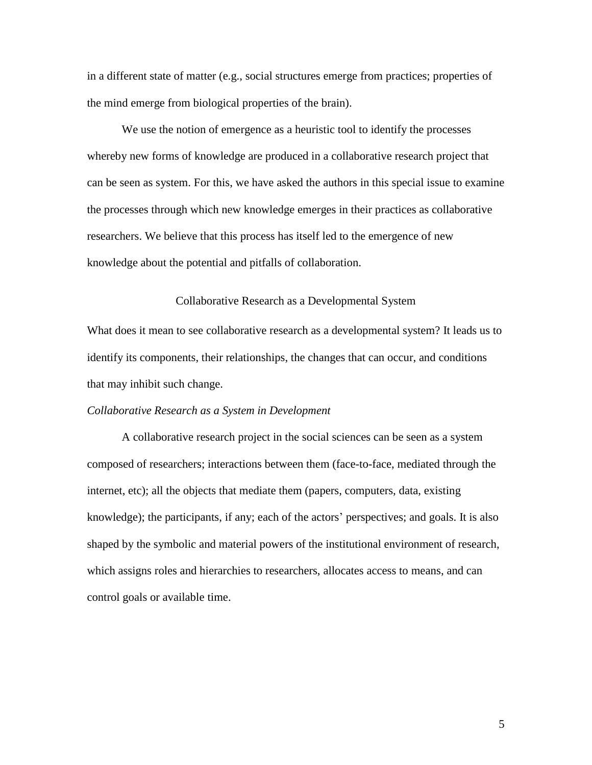in a different state of matter (e.g., social structures emerge from practices; properties of the mind emerge from biological properties of the brain).

We use the notion of emergence as a heuristic tool to identify the processes whereby new forms of knowledge are produced in a collaborative research project that can be seen as system. For this, we have asked the authors in this special issue to examine the processes through which new knowledge emerges in their practices as collaborative researchers. We believe that this process has itself led to the emergence of new knowledge about the potential and pitfalls of collaboration.

#### Collaborative Research as a Developmental System

What does it mean to see collaborative research as a developmental system? It leads us to identify its components, their relationships, the changes that can occur, and conditions that may inhibit such change.

#### *Collaborative Research as a System in Development*

A collaborative research project in the social sciences can be seen as a system composed of researchers; interactions between them (face-to-face, mediated through the internet, etc); all the objects that mediate them (papers, computers, data, existing knowledge); the participants, if any; each of the actors' perspectives; and goals. It is also shaped by the symbolic and material powers of the institutional environment of research, which assigns roles and hierarchies to researchers, allocates access to means, and can control goals or available time.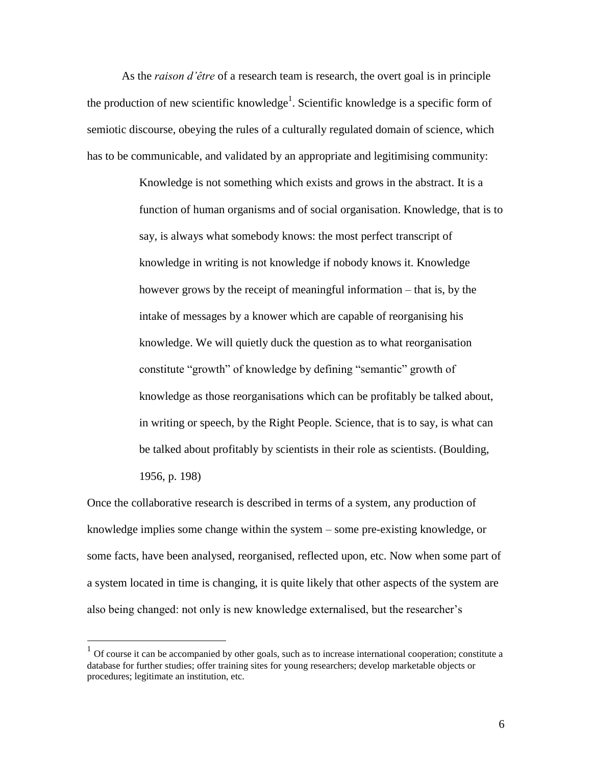As the *raison d'être* of a research team is research, the overt goal is in principle the production of new scientific knowledge<sup>1</sup>. Scientific knowledge is a specific form of semiotic discourse, obeying the rules of a culturally regulated domain of science, which has to be communicable, and validated by an appropriate and legitimising community:

> Knowledge is not something which exists and grows in the abstract. It is a function of human organisms and of social organisation. Knowledge, that is to say, is always what somebody knows: the most perfect transcript of knowledge in writing is not knowledge if nobody knows it. Knowledge however grows by the receipt of meaningful information – that is, by the intake of messages by a knower which are capable of reorganising his knowledge. We will quietly duck the question as to what reorganisation constitute "growth" of knowledge by defining "semantic" growth of knowledge as those reorganisations which can be profitably be talked about, in writing or speech, by the Right People. Science, that is to say, is what can be talked about profitably by scientists in their role as scientists. (Boulding, 1956, p. 198)

Once the collaborative research is described in terms of a system, any production of knowledge implies some change within the system – some pre-existing knowledge, or some facts, have been analysed, reorganised, reflected upon, etc. Now when some part of a system located in time is changing, it is quite likely that other aspects of the system are also being changed: not only is new knowledge externalised, but the researcher's

 $\overline{a}$ 

 $<sup>1</sup>$  Of course it can be accompanied by other goals, such as to increase international cooperation; constitute a</sup> database for further studies; offer training sites for young researchers; develop marketable objects or procedures; legitimate an institution, etc.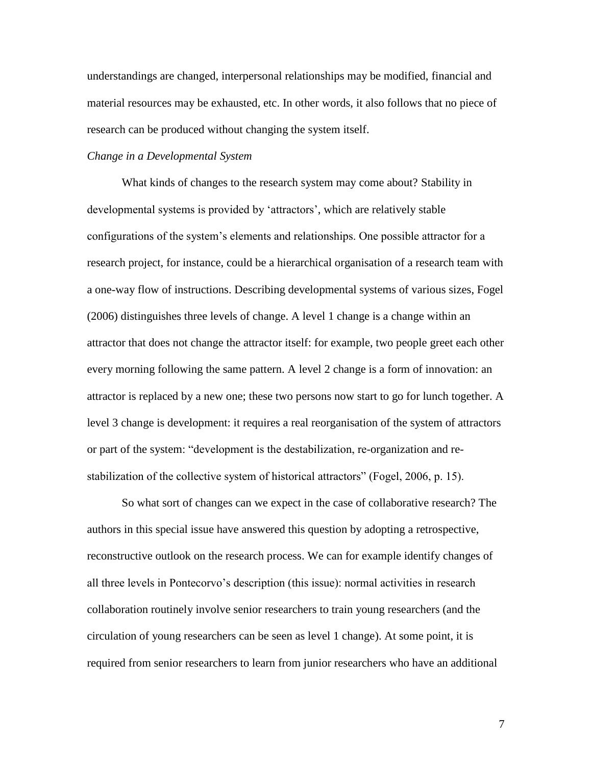understandings are changed, interpersonal relationships may be modified, financial and material resources may be exhausted, etc. In other words, it also follows that no piece of research can be produced without changing the system itself.

#### *Change in a Developmental System*

What kinds of changes to the research system may come about? Stability in developmental systems is provided by 'attractors', which are relatively stable configurations of the system's elements and relationships. One possible attractor for a research project, for instance, could be a hierarchical organisation of a research team with a one-way flow of instructions. Describing developmental systems of various sizes, Fogel (2006) distinguishes three levels of change. A level 1 change is a change within an attractor that does not change the attractor itself: for example, two people greet each other every morning following the same pattern. A level 2 change is a form of innovation: an attractor is replaced by a new one; these two persons now start to go for lunch together. A level 3 change is development: it requires a real reorganisation of the system of attractors or part of the system: "development is the destabilization, re-organization and restabilization of the collective system of historical attractors" (Fogel, 2006, p. 15).

So what sort of changes can we expect in the case of collaborative research? The authors in this special issue have answered this question by adopting a retrospective, reconstructive outlook on the research process. We can for example identify changes of all three levels in Pontecorvo's description (this issue): normal activities in research collaboration routinely involve senior researchers to train young researchers (and the circulation of young researchers can be seen as level 1 change). At some point, it is required from senior researchers to learn from junior researchers who have an additional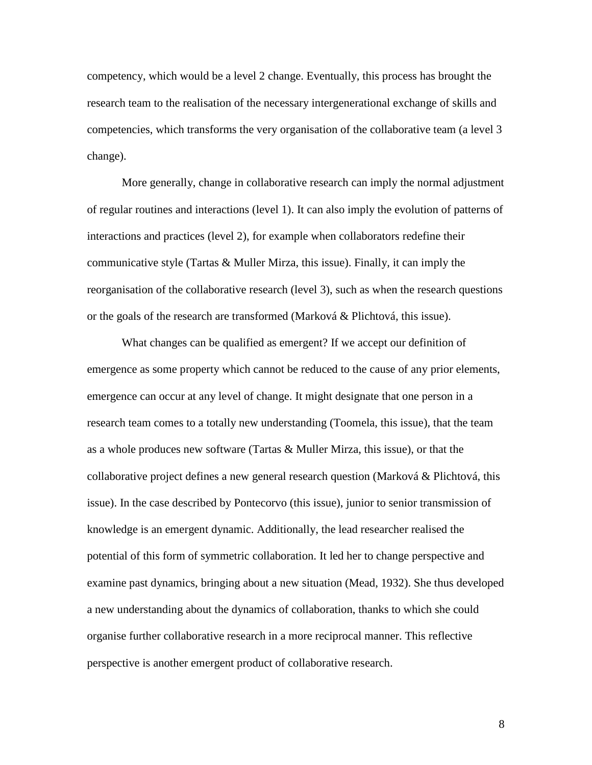competency, which would be a level 2 change. Eventually, this process has brought the research team to the realisation of the necessary intergenerational exchange of skills and competencies, which transforms the very organisation of the collaborative team (a level 3 change).

More generally, change in collaborative research can imply the normal adjustment of regular routines and interactions (level 1). It can also imply the evolution of patterns of interactions and practices (level 2), for example when collaborators redefine their communicative style (Tartas & Muller Mirza, this issue). Finally, it can imply the reorganisation of the collaborative research (level 3), such as when the research questions or the goals of the research are transformed (Marková & Plichtová, this issue).

What changes can be qualified as emergent? If we accept our definition of emergence as some property which cannot be reduced to the cause of any prior elements, emergence can occur at any level of change. It might designate that one person in a research team comes to a totally new understanding (Toomela, this issue), that the team as a whole produces new software (Tartas  $&$  Muller Mirza, this issue), or that the collaborative project defines a new general research question (Marková & Plichtová, this issue). In the case described by Pontecorvo (this issue), junior to senior transmission of knowledge is an emergent dynamic. Additionally, the lead researcher realised the potential of this form of symmetric collaboration. It led her to change perspective and examine past dynamics, bringing about a new situation (Mead, 1932). She thus developed a new understanding about the dynamics of collaboration, thanks to which she could organise further collaborative research in a more reciprocal manner. This reflective perspective is another emergent product of collaborative research.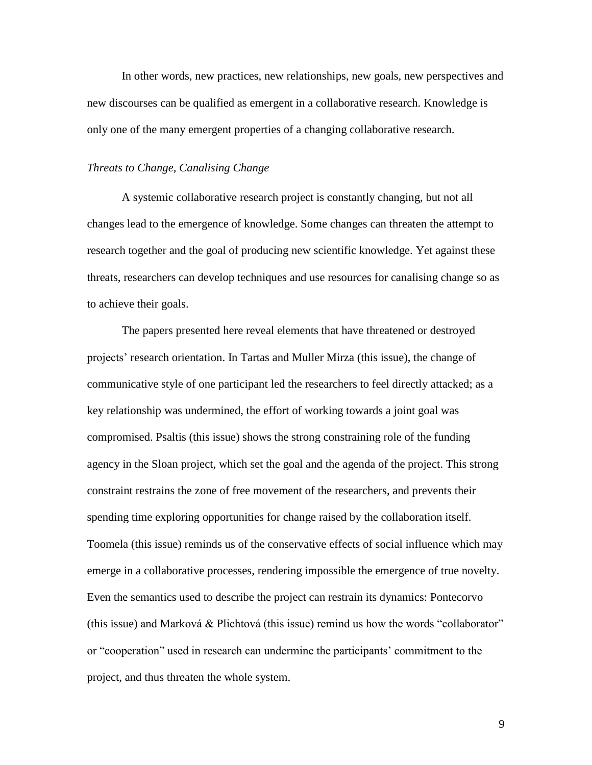In other words, new practices, new relationships, new goals, new perspectives and new discourses can be qualified as emergent in a collaborative research. Knowledge is only one of the many emergent properties of a changing collaborative research.

#### *Threats to Change, Canalising Change*

A systemic collaborative research project is constantly changing, but not all changes lead to the emergence of knowledge. Some changes can threaten the attempt to research together and the goal of producing new scientific knowledge. Yet against these threats, researchers can develop techniques and use resources for canalising change so as to achieve their goals.

The papers presented here reveal elements that have threatened or destroyed projects' research orientation. In Tartas and Muller Mirza (this issue), the change of communicative style of one participant led the researchers to feel directly attacked; as a key relationship was undermined, the effort of working towards a joint goal was compromised. Psaltis (this issue) shows the strong constraining role of the funding agency in the Sloan project, which set the goal and the agenda of the project. This strong constraint restrains the zone of free movement of the researchers, and prevents their spending time exploring opportunities for change raised by the collaboration itself. Toomela (this issue) reminds us of the conservative effects of social influence which may emerge in a collaborative processes, rendering impossible the emergence of true novelty. Even the semantics used to describe the project can restrain its dynamics: Pontecorvo (this issue) and Marková & Plichtová (this issue) remind us how the words "collaborator" or "cooperation" used in research can undermine the participants' commitment to the project, and thus threaten the whole system.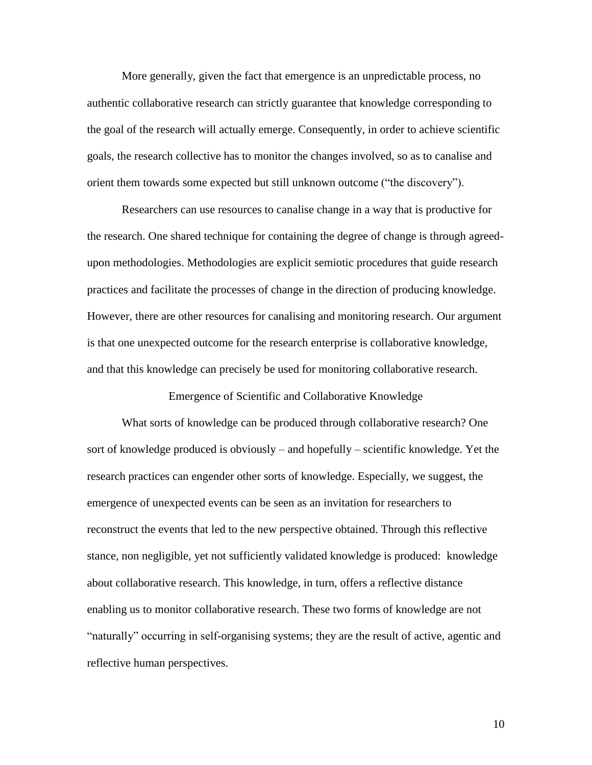More generally, given the fact that emergence is an unpredictable process, no authentic collaborative research can strictly guarantee that knowledge corresponding to the goal of the research will actually emerge. Consequently, in order to achieve scientific goals, the research collective has to monitor the changes involved, so as to canalise and orient them towards some expected but still unknown outcome ("the discovery").

Researchers can use resources to canalise change in a way that is productive for the research. One shared technique for containing the degree of change is through agreedupon methodologies. Methodologies are explicit semiotic procedures that guide research practices and facilitate the processes of change in the direction of producing knowledge. However, there are other resources for canalising and monitoring research. Our argument is that one unexpected outcome for the research enterprise is collaborative knowledge, and that this knowledge can precisely be used for monitoring collaborative research.

Emergence of Scientific and Collaborative Knowledge

What sorts of knowledge can be produced through collaborative research? One sort of knowledge produced is obviously – and hopefully – scientific knowledge. Yet the research practices can engender other sorts of knowledge. Especially, we suggest, the emergence of unexpected events can be seen as an invitation for researchers to reconstruct the events that led to the new perspective obtained. Through this reflective stance, non negligible, yet not sufficiently validated knowledge is produced: knowledge about collaborative research. This knowledge, in turn, offers a reflective distance enabling us to monitor collaborative research. These two forms of knowledge are not "naturally" occurring in self-organising systems; they are the result of active, agentic and reflective human perspectives.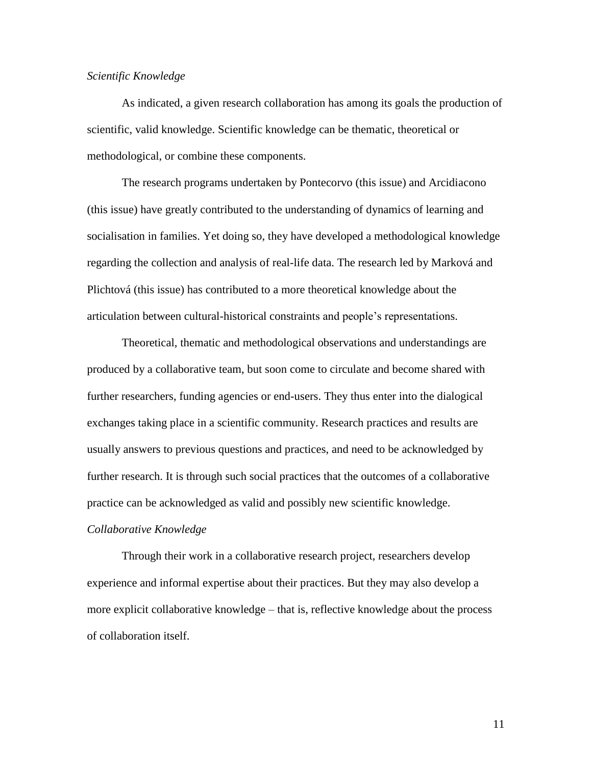#### *Scientific Knowledge*

As indicated, a given research collaboration has among its goals the production of scientific, valid knowledge. Scientific knowledge can be thematic, theoretical or methodological, or combine these components.

The research programs undertaken by Pontecorvo (this issue) and Arcidiacono (this issue) have greatly contributed to the understanding of dynamics of learning and socialisation in families. Yet doing so, they have developed a methodological knowledge regarding the collection and analysis of real-life data. The research led by Marková and Plichtová (this issue) has contributed to a more theoretical knowledge about the articulation between cultural-historical constraints and people's representations.

Theoretical, thematic and methodological observations and understandings are produced by a collaborative team, but soon come to circulate and become shared with further researchers, funding agencies or end-users. They thus enter into the dialogical exchanges taking place in a scientific community. Research practices and results are usually answers to previous questions and practices, and need to be acknowledged by further research. It is through such social practices that the outcomes of a collaborative practice can be acknowledged as valid and possibly new scientific knowledge.

#### *Collaborative Knowledge*

Through their work in a collaborative research project, researchers develop experience and informal expertise about their practices. But they may also develop a more explicit collaborative knowledge – that is, reflective knowledge about the process of collaboration itself.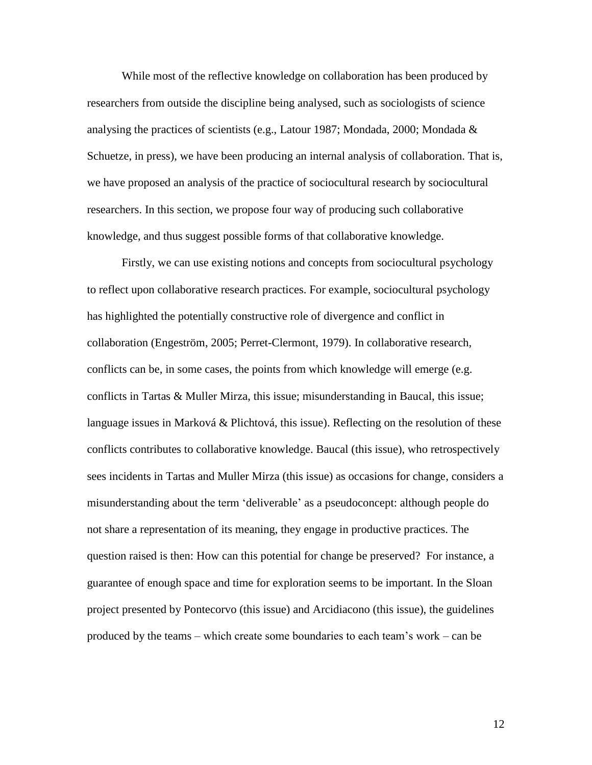While most of the reflective knowledge on collaboration has been produced by researchers from outside the discipline being analysed, such as sociologists of science analysing the practices of scientists (e.g., Latour 1987; Mondada, 2000; Mondada  $\&$ Schuetze, in press), we have been producing an internal analysis of collaboration. That is, we have proposed an analysis of the practice of sociocultural research by sociocultural researchers. In this section, we propose four way of producing such collaborative knowledge, and thus suggest possible forms of that collaborative knowledge.

Firstly, we can use existing notions and concepts from sociocultural psychology to reflect upon collaborative research practices. For example, sociocultural psychology has highlighted the potentially constructive role of divergence and conflict in collaboration (Engeström, 2005; Perret-Clermont, 1979). In collaborative research, conflicts can be, in some cases, the points from which knowledge will emerge (e.g. conflicts in Tartas & Muller Mirza, this issue; misunderstanding in Baucal, this issue; language issues in Marková & Plichtová, this issue). Reflecting on the resolution of these conflicts contributes to collaborative knowledge. Baucal (this issue), who retrospectively sees incidents in Tartas and Muller Mirza (this issue) as occasions for change, considers a misunderstanding about the term 'deliverable' as a pseudoconcept: although people do not share a representation of its meaning, they engage in productive practices. The question raised is then: How can this potential for change be preserved? For instance, a guarantee of enough space and time for exploration seems to be important. In the Sloan project presented by Pontecorvo (this issue) and Arcidiacono (this issue), the guidelines produced by the teams – which create some boundaries to each team's work – can be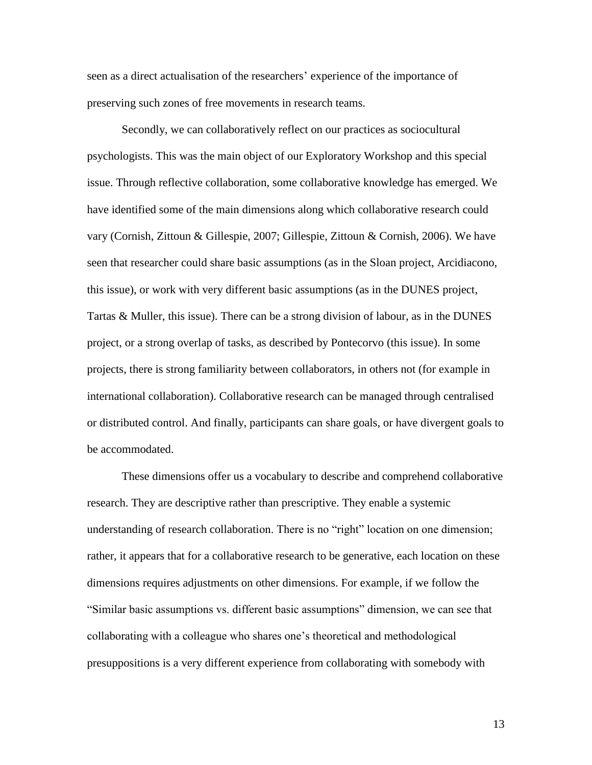seen as a direct actualisation of the researchers' experience of the importance of preserving such zones of free movements in research teams.

Secondly, we can collaboratively reflect on our practices as sociocultural psychologists. This was the main object of our Exploratory Workshop and this special issue. Through reflective collaboration, some collaborative knowledge has emerged. We have identified some of the main dimensions along which collaborative research could vary (Cornish, Zittoun & Gillespie, 2007; Gillespie, Zittoun & Cornish, 2006). We have seen that researcher could share basic assumptions (as in the Sloan project, Arcidiacono, this issue), or work with very different basic assumptions (as in the DUNES project, Tartas & Muller, this issue). There can be a strong division of labour, as in the DUNES project, or a strong overlap of tasks, as described by Pontecorvo (this issue). In some projects, there is strong familiarity between collaborators, in others not (for example in international collaboration). Collaborative research can be managed through centralised or distributed control. And finally, participants can share goals, or have divergent goals to be accommodated.

These dimensions offer us a vocabulary to describe and comprehend collaborative research. They are descriptive rather than prescriptive. They enable a systemic understanding of research collaboration. There is no "right" location on one dimension; rather, it appears that for a collaborative research to be generative, each location on these dimensions requires adjustments on other dimensions. For example, if we follow the "Similar basic assumptions vs. different basic assumptions" dimension, we can see that collaborating with a colleague who shares one's theoretical and methodological presuppositions is a very different experience from collaborating with somebody with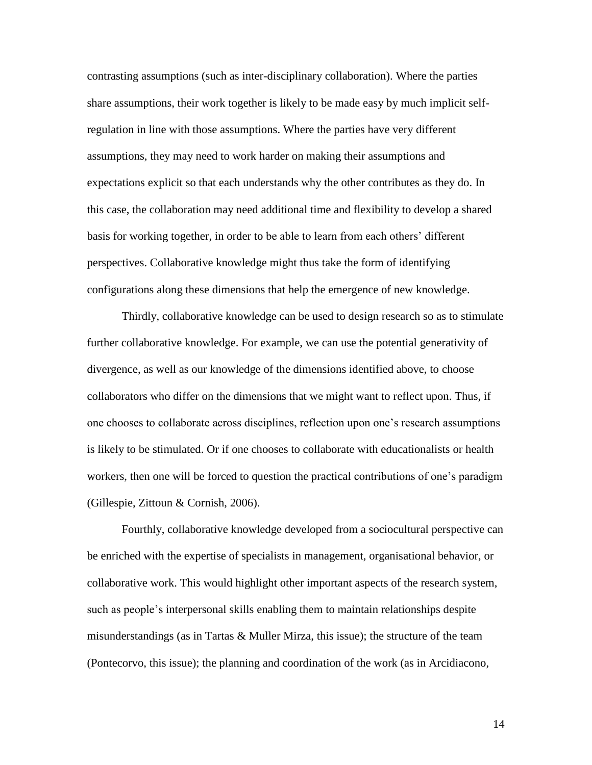contrasting assumptions (such as inter-disciplinary collaboration). Where the parties share assumptions, their work together is likely to be made easy by much implicit selfregulation in line with those assumptions. Where the parties have very different assumptions, they may need to work harder on making their assumptions and expectations explicit so that each understands why the other contributes as they do. In this case, the collaboration may need additional time and flexibility to develop a shared basis for working together, in order to be able to learn from each others' different perspectives. Collaborative knowledge might thus take the form of identifying configurations along these dimensions that help the emergence of new knowledge.

Thirdly, collaborative knowledge can be used to design research so as to stimulate further collaborative knowledge. For example, we can use the potential generativity of divergence, as well as our knowledge of the dimensions identified above, to choose collaborators who differ on the dimensions that we might want to reflect upon. Thus, if one chooses to collaborate across disciplines, reflection upon one's research assumptions is likely to be stimulated. Or if one chooses to collaborate with educationalists or health workers, then one will be forced to question the practical contributions of one's paradigm (Gillespie, Zittoun & Cornish, 2006).

Fourthly, collaborative knowledge developed from a sociocultural perspective can be enriched with the expertise of specialists in management, organisational behavior, or collaborative work. This would highlight other important aspects of the research system, such as people's interpersonal skills enabling them to maintain relationships despite misunderstandings (as in Tartas  $&$  Muller Mirza, this issue); the structure of the team (Pontecorvo, this issue); the planning and coordination of the work (as in Arcidiacono,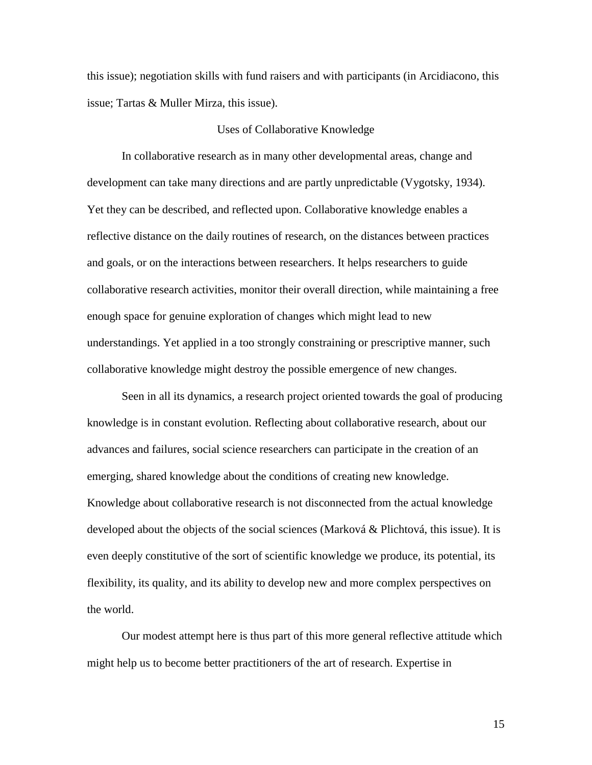this issue); negotiation skills with fund raisers and with participants (in Arcidiacono, this issue; Tartas & Muller Mirza, this issue).

#### Uses of Collaborative Knowledge

In collaborative research as in many other developmental areas, change and development can take many directions and are partly unpredictable (Vygotsky, 1934). Yet they can be described, and reflected upon. Collaborative knowledge enables a reflective distance on the daily routines of research, on the distances between practices and goals, or on the interactions between researchers. It helps researchers to guide collaborative research activities, monitor their overall direction, while maintaining a free enough space for genuine exploration of changes which might lead to new understandings. Yet applied in a too strongly constraining or prescriptive manner, such collaborative knowledge might destroy the possible emergence of new changes.

Seen in all its dynamics, a research project oriented towards the goal of producing knowledge is in constant evolution. Reflecting about collaborative research, about our advances and failures, social science researchers can participate in the creation of an emerging, shared knowledge about the conditions of creating new knowledge. Knowledge about collaborative research is not disconnected from the actual knowledge developed about the objects of the social sciences (Marková & Plichtová, this issue). It is even deeply constitutive of the sort of scientific knowledge we produce, its potential, its flexibility, its quality, and its ability to develop new and more complex perspectives on the world.

Our modest attempt here is thus part of this more general reflective attitude which might help us to become better practitioners of the art of research. Expertise in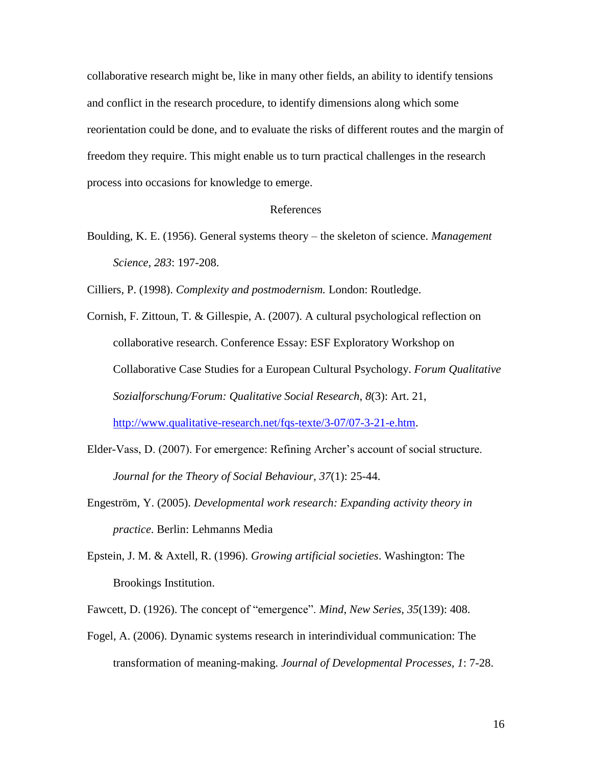collaborative research might be, like in many other fields, an ability to identify tensions and conflict in the research procedure, to identify dimensions along which some reorientation could be done, and to evaluate the risks of different routes and the margin of freedom they require. This might enable us to turn practical challenges in the research process into occasions for knowledge to emerge.

#### References

Boulding, K. E. (1956). General systems theory – the skeleton of science. *Management Science, 283*: 197-208.

Cilliers, P. (1998). *Complexity and postmodernism.* London: Routledge.

- Cornish, F. Zittoun, T. & Gillespie, A. (2007). A cultural psychological reflection on collaborative research. Conference Essay: ESF Exploratory Workshop on Collaborative Case Studies for a European Cultural Psychology. *Forum Qualitative Sozialforschung/Forum: Qualitative Social Research*, *8*(3): Art. 21, [http://www.qualitative-research.net/fqs-texte/3-07/07-3-21-e.htm.](http://www.qualitative-research.net/fqs-texte/3-07/07-3-21-e.htm)
- Elder-Vass, D. (2007). For emergence: Refining Archer's account of social structure. *Journal for the Theory of Social Behaviour, 37*(1): 25-44.
- Engeström, Y. (2005). *Developmental work research: Expanding activity theory in practice*. Berlin: Lehmanns Media
- Epstein, J. M. & Axtell, R. (1996). *Growing artificial societies*. Washington: The Brookings Institution.

Fawcett, D. (1926). The concept of "emergence". *Mind*, *New Series, 35*(139): 408.

Fogel, A. (2006). Dynamic systems research in interindividual communication: The transformation of meaning-making. *Journal of Developmental Processes, 1*: 7-28.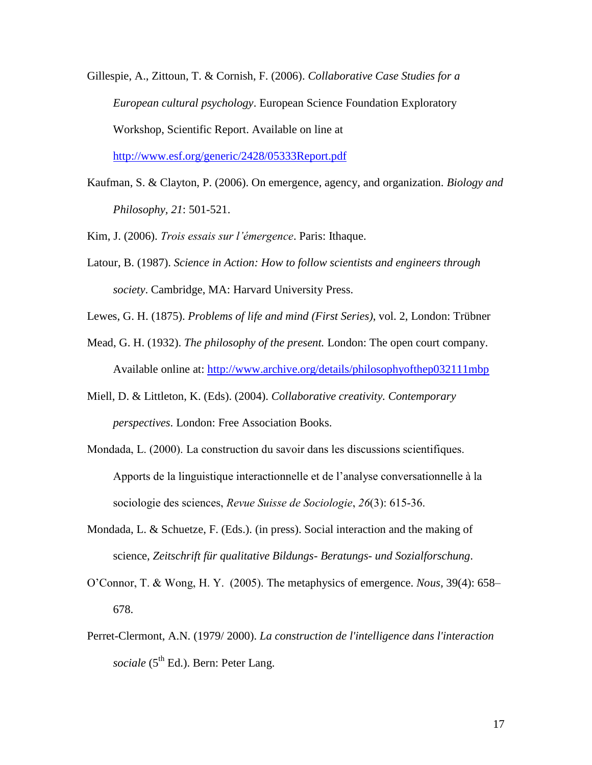Gillespie, A., Zittoun, T. & Cornish, F. (2006). *Collaborative Case Studies for a European cultural psychology*. European Science Foundation Exploratory Workshop, Scientific Report. Available on line at <http://www.esf.org/generic/2428/05333Report.pdf>

Kaufman, S. & Clayton, P. (2006). On emergence, agency, and organization. *Biology and Philosophy, 21*: 501-521.

Kim, J. (2006). *Trois essais sur l'émergence*. Paris: Ithaque.

Latour, B. (1987). *Science in Action: How to follow scientists and engineers through society*. Cambridge, MA: Harvard University Press.

Lewes, G. H. (1875). *Problems of life and mind (First Series)*, vol. 2, London: Trübner

- Mead, G. H. (1932). *The philosophy of the present.* London: The open court company. Available online at:<http://www.archive.org/details/philosophyofthep032111mbp>
- Miell, D. & Littleton, K. (Eds). (2004). *Collaborative creativity. Contemporary perspectives*. London: Free Association Books.
- Mondada, L. (2000). La construction du savoir dans les discussions scientifiques. Apports de la linguistique interactionnelle et de l'analyse conversationnelle à la sociologie des sciences, *Revue Suisse de Sociologie*, *26*(3): 615-36.
- Mondada, L. & Schuetze, F. (Eds.). (in press). Social interaction and the making of science, *Zeitschrift für qualitative Bildungs- Beratungs- und Sozialforschung*.
- O'Connor, T. & Wong, H. Y. (2005). The metaphysics of emergence. *Nous,* 39(4): 658– 678.
- Perret-Clermont, A.N. (1979/ 2000). *La construction de l'intelligence dans l'interaction sociale* (5<sup>th</sup> Ed.). Bern: Peter Lang.